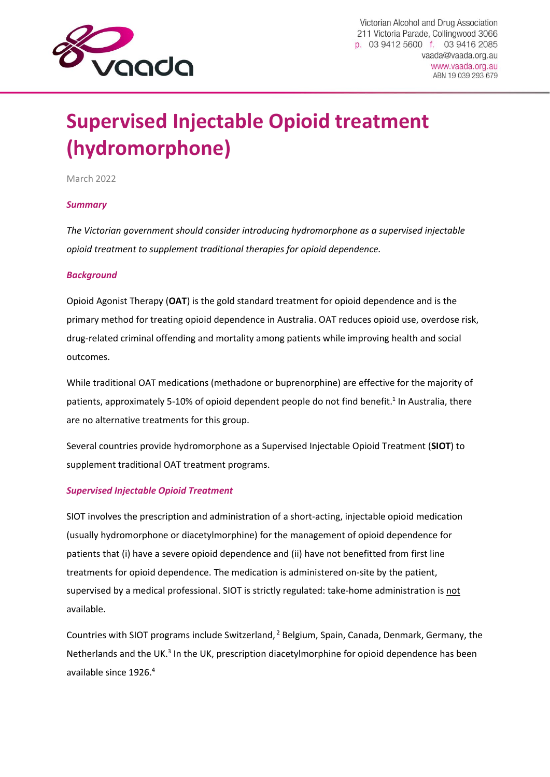

# **Supervised Injectable Opioid treatment (hydromorphone)**

March 2022

#### *Summary*

*The Victorian government should consider introducing hydromorphone as a supervised injectable opioid treatment to supplement traditional therapies for opioid dependence.* 

#### *Background*

Opioid Agonist Therapy (**OAT**) is the gold standard treatment for opioid dependence and is the primary method for treating opioid dependence in Australia. OAT reduces opioid use, overdose risk, drug-related criminal offending and mortality among patients while improving health and social outcomes.

While traditional OAT medications (methadone or buprenorphine) are effective for the majority of patients, approximately 5-10% of opioid dependent people do not find benefit.<sup>1</sup> In Australia, there are no alternative treatments for this group.

Several countries provide hydromorphone as a Supervised Injectable Opioid Treatment (**SIOT**) to supplement traditional OAT treatment programs.

#### *Supervised Injectable Opioid Treatment*

SIOT involves the prescription and administration of a short-acting, injectable opioid medication (usually hydromorphone or diacetylmorphine) for the management of opioid dependence for patients that (i) have a severe opioid dependence and (ii) have not benefitted from first line treatments for opioid dependence. The medication is administered on-site by the patient, supervised by a medical professional. SIOT is strictly regulated: take-home administration is not available.

Countries with SIOT programs include Switzerland, <sup>2</sup> Belgium, Spain, Canada, Denmark, Germany, the Netherlands and the UK.<sup>3</sup> In the UK, prescription diacetylmorphine for opioid dependence has been available since 1926. 4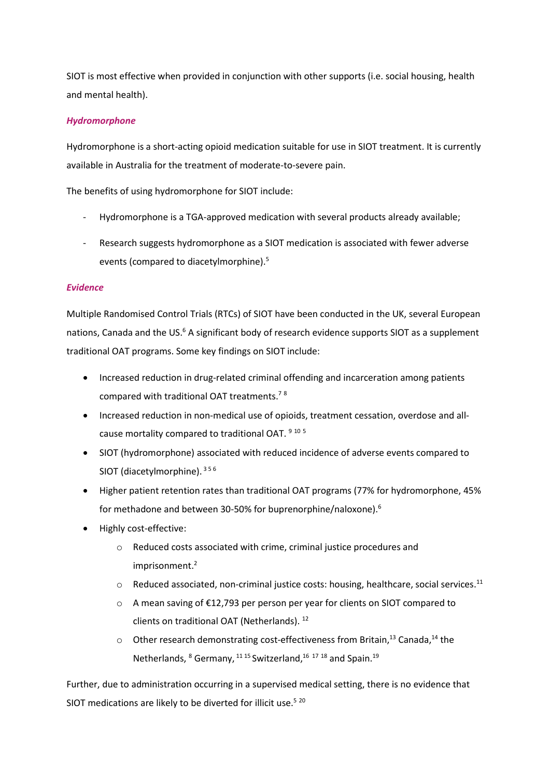SIOT is most effective when provided in conjunction with other supports (i.e. social housing, health and mental health).

## *Hydromorphone*

Hydromorphone is a short-acting opioid medication suitable for use in SIOT treatment. It is currently available in Australia for the treatment of moderate-to-severe pain.

The benefits of using hydromorphone for SIOT include:

- Hydromorphone is a TGA-approved medication with several products already available;
- Research suggests hydromorphone as a SIOT medication is associated with fewer adverse events (compared to diacetylmorphine).<sup>5</sup>

## *Evidence*

Multiple Randomised Control Trials (RTCs) of SIOT have been conducted in the UK, several European nations, Canada and the US.<sup>6</sup> A significant body of research evidence supports SIOT as a supplement traditional OAT programs. Some key findings on SIOT include:

- Increased reduction in drug-related criminal offending and incarceration among patients compared with traditional OAT treatments.<sup>78</sup>
- Increased reduction in non-medical use of opioids, treatment cessation, overdose and allcause mortality compared to traditional OAT.<sup>9 105</sup>
- SIOT (hydromorphone) associated with reduced incidence of adverse events compared to SIOT (diacetylmorphine). 356
- Higher patient retention rates than traditional OAT programs (77% for hydromorphone, 45% for methadone and between 30-50% for buprenorphine/naloxone).<sup>6</sup>
- Highly cost-effective:
	- o Reduced costs associated with crime, criminal justice procedures and imprisonment. 2
	- $\circ$  Reduced associated, non-criminal justice costs: housing, healthcare, social services.<sup>11</sup>
	- o A mean saving of €12,793 per person per year for clients on SIOT compared to clients on traditional OAT (Netherlands). 12
	- $\circ$  Other research demonstrating cost-effectiveness from Britain,<sup>13</sup> Canada,<sup>14</sup> the Netherlands, <sup>8</sup> Germany, <sup>11 15</sup> Switzerland, <sup>16 17 18</sup> and Spain.<sup>19</sup>

Further, due to administration occurring in a supervised medical setting, there is no evidence that SIOT medications are likely to be diverted for illicit use.<sup>5 20</sup>